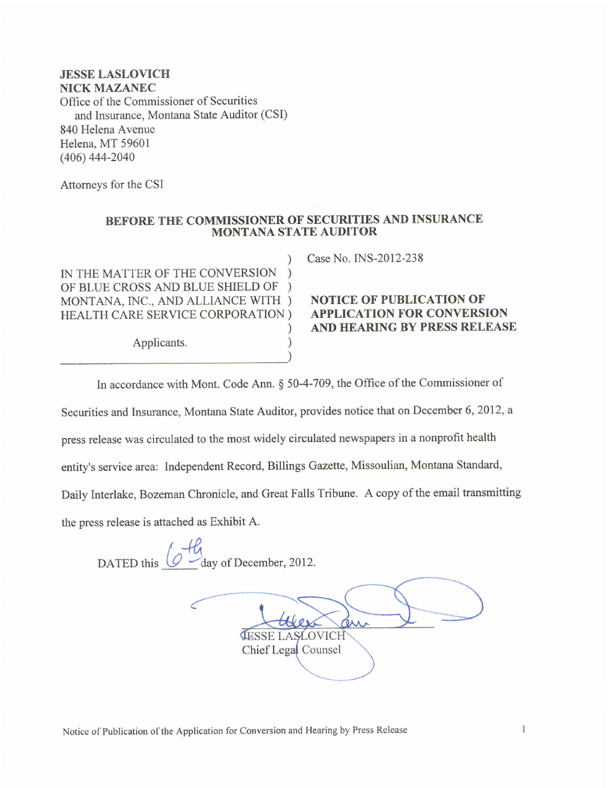## JESSE LASLOVICH NICK MAZANEC Office of the Commissioner of Securities and Insurance, Montana State Auditor (CSI) 840 Helena Avenue Helena, MT 59601 (406) 444-2040

Attomeys for the CSI

## BEFORE THE COMMISSIONER OF SECURITIES AND INSURANCE MONTANA STATE AUDITOR

IN THE MATTER OF THE CONVERSION OF BLUE CROSS AND BLUE SHIELD OF ) MONTANA, INC., AND ALLIANCE WITH ) NOTICE OF PUBLICATION OF HEALTH CARE SERVICE CORPORATION ) APPLICATION FOR CONVERS!

Applicants. )

) Case No. INS-2012-238

## APPLICATION FOR CONVERSION ) AND HEARING BY PRESS RELEASE

In accordance with Mont. Code Ann. § 50-4-709, the Office of the Commissioner of

Securities and Insurance, Montana State Auditor, provides notice that on December 6,2012, <sup>a</sup>

)

press release was circulated to the most widely circulated newspapers in a nonprofit health

entity's service area: lndependent Record, Billings Gazette, Missoulian, Montana Standard,

Daily Interlake, Bozeman Chronicle, and Great Falls Tribune. A copy of the email transmitting

the press release is attached as Exhibit A.

 $h$ DATED this  $\overline{\mathcal{Q}}$  day of December, 2012.

**ASLOVICH** Chief Legal Counsel